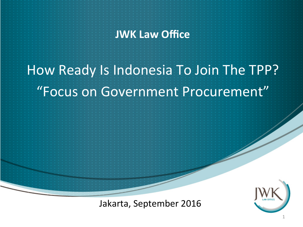### **JWK Law Office**

## How Ready Is Indonesia To Join The TPP? "Focus on Government Procurement"

Jakarta, September 2016

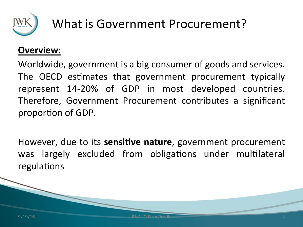

### What is Government Procurement?

### **Overview:**

Worldwide, government is a big consumer of goods and services. The OECD estimates that government procurement typically represent 14-20% of GDP in most developed countries. Therefore, Government Procurement contributes a significant proportion of GDP.

However, due to its **sensitive nature**, government procurement was largely excluded from obligations under multilateral regulations

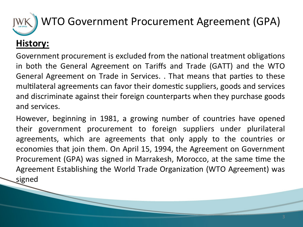## **History:** WTO Government Procurement Agreement (GPA)

Government procurement is excluded from the national treatment obligations in both the General Agreement on Tariffs and Trade (GATT) and the WTO General Agreement on Trade in Services. . That means that parties to these multilateral agreements can favor their domestic suppliers, goods and services and discriminate against their foreign counterparts when they purchase goods and services.

However, beginning in 1981, a growing number of countries have opened their government procurement to foreign suppliers under plurilateral agreements, which are agreements that only apply to the countries or economies that join them. On April 15, 1994, the Agreement on Government Procurement (GPA) was signed in Marrakesh, Morocco, at the same time the Agreement Establishing the World Trade Organization (WTO Agreement) was signed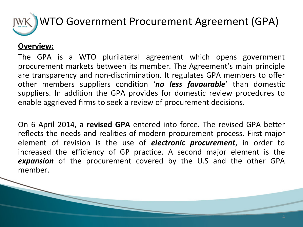

#### **Overview:**

The GPA is a WTO plurilateral agreement which opens government procurement markets between its member. The Agreement's main principle are transparency and non-discrimination. It regulates GPA members to offer other members suppliers condition 'no less favourable' than domestic suppliers. In addition the GPA provides for domestic review procedures to enable aggrieved firms to seek a review of procurement decisions.

On 6 April 2014, a **revised GPA** entered into force. The revised GPA better reflects the needs and realities of modern procurement process. First major element of revision is the use of *electronic procurement*, in order to increased the efficiency of GP practice. A second major element is the *expansion* of the procurement covered by the U.S and the other GPA member.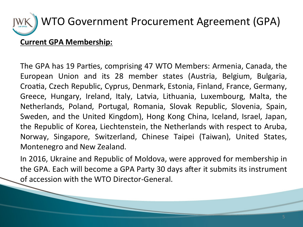# WTO Government Procurement Agreement (GPA)

#### **Current GPA Membership:**

The GPA has 19 Parties, comprising 47 WTO Members: Armenia, Canada, the European Union and its 28 member states (Austria, Belgium, Bulgaria, Croatia, Czech Republic, Cyprus, Denmark, Estonia, Finland, France, Germany, Greece, Hungary, Ireland, Italy, Latvia, Lithuania, Luxembourg, Malta, the Netherlands, Poland, Portugal, Romania, Slovak Republic, Slovenia, Spain, Sweden, and the United Kingdom), Hong Kong China, Iceland, Israel, Japan, the Republic of Korea, Liechtenstein, the Netherlands with respect to Aruba, Norway, Singapore, Switzerland, Chinese Taipei (Taiwan), United States, Montenegro and New Zealand.

In 2016, Ukraine and Republic of Moldova, were approved for membership in the GPA. Each will become a GPA Party 30 days after it submits its instrument of accession with the WTO Director-General.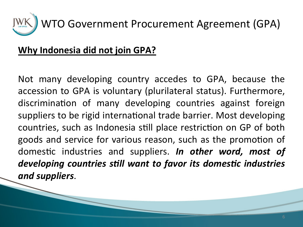

### **Why Indonesia did not join GPA?**

Not many developing country accedes to GPA, because the accession to GPA is voluntary (plurilateral status). Furthermore, discrimination of many developing countries against foreign suppliers to be rigid international trade barrier. Most developing countries, such as Indonesia still place restriction on GP of both goods and service for various reason, such as the promotion of domestic industries and suppliers. In other word, most of developing countries still want to favor its domestic industries *and suppliers*.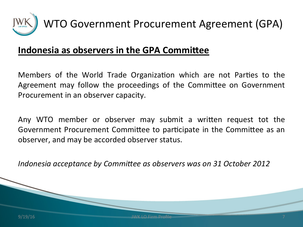

### **Indonesia as observers in the GPA Committee**

Members of the World Trade Organization which are not Parties to the Agreement may follow the proceedings of the Committee on Government Procurement in an observer capacity.

Any WTO member or observer may submit a written request tot the Government Procurement Committee to participate in the Committee as an observer, and may be accorded observer status.

*Indonesia acceptance by Committee as observers was on 31 October 2012* 

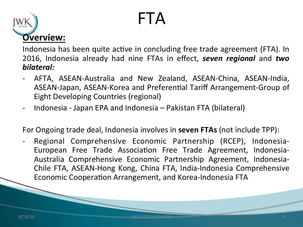## FTA



Indonesia has been quite active in concluding free trade agreement (FTA). In 2016, Indonesia already had nine FTAs in effect, **seven regional** and **two** *bilateral:* 

- AFTA, ASEAN-Australia and New Zealand, ASEAN-China, ASEAN-India, ASEAN-Japan, ASEAN-Korea and Preferential Tariff Arrangement-Group of Eight Developing Countries (regional)
- Indonesia Japan EPA and Indonesia Pakistan FTA (bilateral)

For Ongoing trade deal, Indonesia involves in **seven FTAs** (not include TPP):

Regional Comprehensive Economic Partnership (RCEP), Indonesia-European Free Trade Association Free Trade Agreement, Indonesia-Australia Comprehensive Economic Partnership Agreement, Indonesia-Chile FTA, ASEAN-Hong Kong, China FTA, India-Indonesia Comprehensive Economic Cooperation Arrangement, and Korea-Indonesia FTA

9/19/16 **System Structure Control Control Control Control Control Control Control Control Control Control Control Control Control Control Control Control Control Control Control Control Control Control Control Control Cont**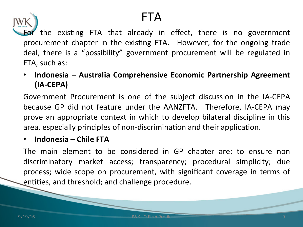### FTA



r the existing FTA that already in effect, there is no government procurement chapter in the existing FTA. However, for the ongoing trade deal, there is a "possibility" government procurement will be regulated in FTA, such as:

• Indonesia – Australia Comprehensive Economic Partnership Agreement **(IA-CEPA)** 

Government Procurement is one of the subject discussion in the IA-CEPA because GP did not feature under the AANZFTA. Therefore, IA-CEPA may prove an appropriate context in which to develop bilateral discipline in this area, especially principles of non-discrimination and their application.

#### • **Indonesia** – Chile FTA

The main element to be considered in GP chapter are: to ensure non discriminatory market access; transparency; procedural simplicity; due process; wide scope on procurement, with significant coverage in terms of entities, and threshold; and challenge procedure.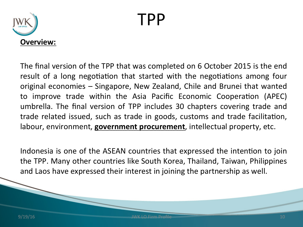## TPP



The final version of the TPP that was completed on 6 October 2015 is the end result of a long negotiation that started with the negotiations among four original economies – Singapore, New Zealand, Chile and Brunei that wanted to improve trade within the Asia Pacific Economic Cooperation (APEC) umbrella. The final version of TPP includes 30 chapters covering trade and trade related issued, such as trade in goods, customs and trade facilitation, labour, environment, **government procurement**, intellectual property, etc.

Indonesia is one of the ASEAN countries that expressed the intention to join the TPP. Many other countries like South Korea, Thailand, Taiwan, Philippines and Laos have expressed their interest in joining the partnership as well.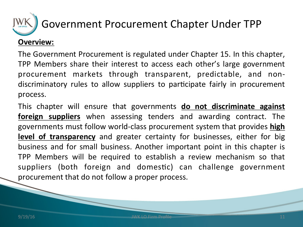

### Government Procurement Chapter Under TPP

#### **Overview:**

The Government Procurement is regulated under Chapter 15. In this chapter, TPP Members share their interest to access each other's large government procurement markets through transparent, predictable, and nondiscriminatory rules to allow suppliers to participate fairly in procurement process. 

This chapter will ensure that governments **do not discriminate against foreign suppliers** when assessing tenders and awarding contract. The governments must follow world-class procurement system that provides **high level of transparency** and greater certainty for businesses, either for big business and for small business. Another important point in this chapter is TPP Members will be required to establish a review mechanism so that suppliers (both foreign and domestic) can challenge government procurement that do not follow a proper process.

and 11 JWK LO Firm Profile **11** JWK LO Firm Profile **11**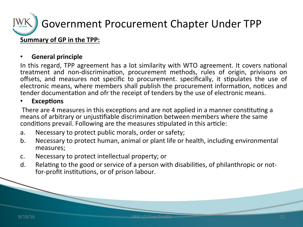

#### **General principle**

In this regard, TPP agreement has a lot similarity with WTO agreement. It covers national treatment and non-discrimination, procurement methods, rules of origin, privisons on offsets, and measures not specific to procurement. specifically, it stipulates the use of electronic means, where members shall publish the procurement information, notices and tender documentation and ofr the receipt of tenders by the use of electronic means.

#### **Exceptions**

There are 4 measures in this exceptions and are not applied in a manner constituting a means of arbitrary or unjustifiable discrimination between members where the same conditions prevail. Following are the measures stipulated in this article:

- a. Necessary to protect public morals, order or safety;
- b. Necessary to protect human, animal or plant life or health, including environmental measures;
- c. Necessary to protect intellectual property; or
- d. Relating to the good or service of a person with disabilities, of philanthropic or notfor-profit institutions, or of prison labour.

and 12 JWK LO Firm Profile **12** JWK LO Firm Profile **12**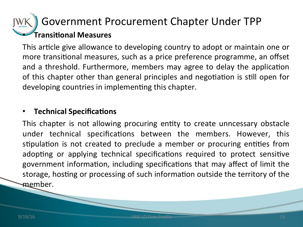### **Fransitional Measures** Government Procurement Chapter Under TPP

This article give allowance to developing country to adopt or maintain one or more transitional measures, such as a price preference programme, an offset and a threshold. Furthermore, members may agree to delay the application of this chapter other than general principles and negotiation is still open for developing countries in implementing this chapter.

#### **Technical Specifications**

This chapter is not allowing procuring entity to create unncessary obstacle under technical specifications between the members. However, this stipulation is not created to preclude a member or procuring entities from adopting or applying technical specifications required to protect sensitive government information, including specifications that may affect of limit the storage, hosting or processing of such information outside the territory of the member.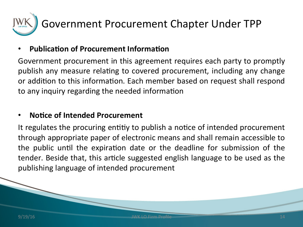

#### **Publication of Procurement Information**

Government procurement in this agreement requires each party to promptly publish any measure relating to covered procurement, including any change or addition to this information. Each member based on request shall respond to any inquiry regarding the needed information

#### **Notice of Intended Procurement**

It regulates the procuring entitiy to publish a notice of intended procurement through appropriate paper of electronic means and shall remain accessible to the public until the expiration date or the deadline for submission of the tender. Beside that, this article suggested english language to be used as the publishing language of intended procurement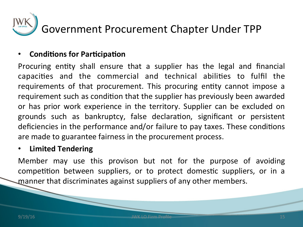

#### **Conditions for Participation**

Procuring entity shall ensure that a supplier has the legal and financial capacities and the commercial and technical abilities to fulfil the requirements of that procurement. This procuring entity cannot impose a requirement such as condition that the supplier has previously been awarded or has prior work experience in the territory. Supplier can be excluded on grounds such as bankruptcy, false declaration, significant or persistent deficiencies in the performance and/or failure to pay taxes. These conditions are made to guarantee fairness in the procurement process.

#### • **Limited Tendering**

Member may use this provison but not for the purpose of avoiding competition between suppliers, or to protect domestic suppliers, or in a manner that discriminates against suppliers of any other members.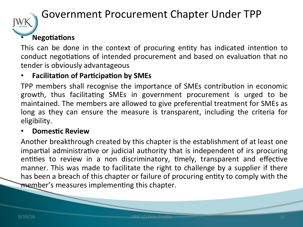

### Government Procurement Chapter Under TPP

### **Negotiations**

This can be done in the context of procuring entity has indicated intention to conduct negotiations of intended procurement and based on evaluation that no tender is obviously advantageous

#### **Facilitation of Participation by SMEs**

TPP members shall recognise the importance of SMEs contribution in economic growth, thus facilitating SMEs in government procurement is urged to be maintained. The members are allowed to give preferential treatment for SMEs as long as they can ensure the measure is transparent, including the criteria for eligibility. 

#### **Domestic Review**

Another breakthrough created by this chapter is the establishment of at least one impartial administrative or judicial authority that is independent of irs procuring entities to review in a non discriminatory, timely, transparent and effective manner. This was made to facilitate the right to challenge by a supplier if there has been a breach of this chapter or failure of procuring entity to comply with the member's measures implementing this chapter.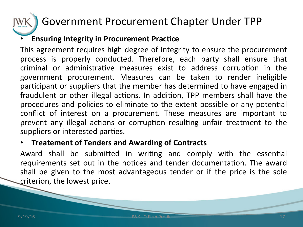### Government Procurement Chapter Under TPP

### **Ensuring Integrity in Procurement Practice**

This agreement requires high degree of integrity to ensure the procurement process is properly conducted. Therefore, each party shall ensure that criminal or administrative measures exist to address corruption in the government procurement. Measures can be taken to render ineligible participant or suppliers that the member has determined to have engaged in fraudulent or other illegal actions. In addition, TPP members shall have the procedures and policies to eliminate to the extent possible or any potential conflict of interest on a procurement. These measures are important to prevent any illegal actions or corruption resulting unfair treatment to the suppliers or interested parties.

#### **Figure 1 Treatement of Tenders and Awarding of Contracts**

Award shall be submitted in writing and comply with the essential requirements set out in the notices and tender documentation. The award shall be given to the most advantageous tender or if the price is the sole criterion, the lowest price.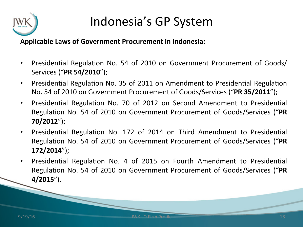

#### Applicable Laws of Government Procurement in Indonesia:

- Presidential Regulation No. 54 of 2010 on Government Procurement of Goods/ Services ("**PR 54/2010**");
- Presidential Regulation No. 35 of 2011 on Amendment to Presidential Regulation No. 54 of 2010 on Government Procurement of Goods/Services ("PR 35/2011");
- Presidential Regulation No. 70 of 2012 on Second Amendment to Presidential Regulation No. 54 of 2010 on Government Procurement of Goods/Services ("PR **70/2012**");
- Presidential Regulation No. 172 of 2014 on Third Amendment to Presidential Regulation No. 54 of 2010 on Government Procurement of Goods/Services ("PR **172/2014**");
- Presidential Regulation No. 4 of 2015 on Fourth Amendment to Presidential Regulation No. 54 of 2010 on Government Procurement of Goods/Services ("PR **4/2015**").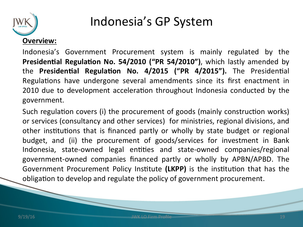

Indonesia's Government Procurement system is mainly regulated by the **Presidential Regulation No. 54/2010 ("PR 54/2010")**, which lastly amended by the **Presidential Regulation No. 4/2015 ("PR 4/2015").** The Presidential Regulations have undergone several amendments since its first enactment in 2010 due to development acceleration throughout Indonesia conducted by the government. 

Such regulation covers (i) the procurement of goods (mainly construction works) or services (consultancy and other services) for ministries, regional divisions, and other institutions that is financed partly or wholly by state budget or regional budget, and (ii) the procurement of goods/services for investment in Bank Indonesia, state-owned legal entities and state-owned companies/regional government-owned companies financed partly or wholly by APBN/APBD. The Government Procurement Policy Institute (LKPP) is the institution that has the obligation to develop and regulate the policy of government procurement.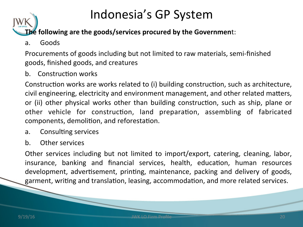**The following are the goods/services procured by the Government:** 

a. Goods 

Procurements of goods including but not limited to raw materials, semi-finished goods, finished goods, and creatures

b. Construction works

Construction works are works related to (i) building construction, such as architecture, civil engineering, electricity and environment management, and other related matters, or (ii) other physical works other than building construction, such as ship, plane or other vehicle for construction, land preparation, assembling of fabricated components, demolition, and reforestation.

- a. Consulting services
- b. Other services

Other services including but not limited to import/export, catering, cleaning, labor, insurance, banking and financial services, health, education, human resources development, advertisement, printing, maintenance, packing and delivery of goods, garment, writing and translation, leasing, accommodation, and more related services.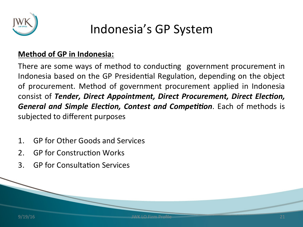

#### **Method of GP in Indonesia:**

There are some ways of method to conducting government procurement in Indonesia based on the GP Presidential Regulation, depending on the object of procurement. Method of government procurement applied in Indonesia consist of *Tender, Direct Appointment, Direct Procurement, Direct Election, General and Simple Election, Contest and Competition.* Each of methods is subjected to different purposes

- 1. GP for Other Goods and Services
- 2. GP for Construction Works
- 3. GP for Consultation Services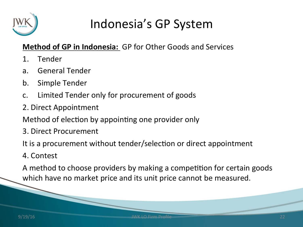

### **Method of GP in Indonesia:** GP for Other Goods and Services

- 1. Tender
- a. General Tender
- b. Simple Tender
- c. Limited Tender only for procurement of goods
- 2. Direct Appointment
- Method of election by appointing one provider only
- 3. Direct Procurement

It is a procurement without tender/selection or direct appointment

4. Contest 

A method to choose providers by making a competition for certain goods which have no market price and its unit price cannot be measured.

**9/19/16** JWK LO Firm Profile **COVERTS 22** JWK LO Firm Profile **22**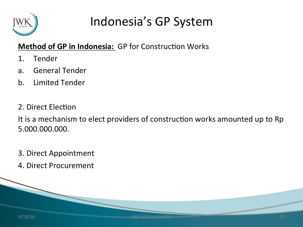

### **Method of GP in Indonesia:** GP for Construction Works

- 1. Tender
- a. General Tender
- b. Limited Tender
- 2. Direct Election

It is a mechanism to elect providers of construction works amounted up to Rp 5.000.000.000. 

- 3. Direct Appointment
- 4. Direct Procurement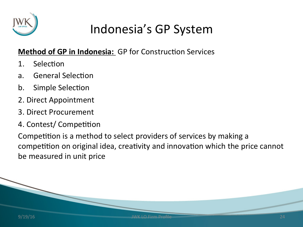

### **Method of GP in Indonesia:** GP for Construction Services

- 1. Selection
- a. General Selection
- b. Simple Selection
- 2. Direct Appointment
- 3. Direct Procurement
- 4. Contest/ Competition

Competition is a method to select providers of services by making a competition on original idea, creativity and innovation which the price cannot be measured in unit price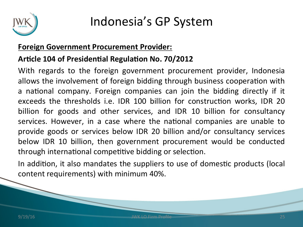

#### **Foreign Government Procurement Provider:**

#### Article 104 of Presidential Regulation No. 70/2012

With regards to the foreign government procurement provider, Indonesia allows the involvement of foreign bidding through business cooperation with a national company. Foreign companies can join the bidding directly if it exceeds the thresholds i.e. IDR 100 billion for construction works, IDR 20 billion for goods and other services, and IDR 10 billion for consultancy services. However, in a case where the national companies are unable to provide goods or services below IDR 20 billion and/or consultancy services below IDR 10 billion, then government procurement would be conducted through international competitive bidding or selection.

In addition, it also mandates the suppliers to use of domestic products (local content requirements) with minimum 40%.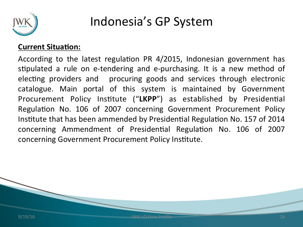

#### **Current Situation:**

According to the latest regulation PR  $4/2015$ , Indonesian government has stipulated a rule on e-tendering and e-purchasing. It is a new method of electing providers and procuring goods and services through electronic catalogue. Main portal of this system is maintained by Government Procurement Policy Institute ("LKPP") as established by Presidential Regulation No. 106 of 2007 concerning Government Procurement Policy Institute that has been ammended by Presidential Regulation No. 157 of 2014 concerning Ammendment of Presidential Regulation No. 106 of 2007 concerning Government Procurement Policy Institute.

**9/19/16 JWK LO Firm Profile Department of the UV of the COVID-10 JWK LO Firm Profile** 26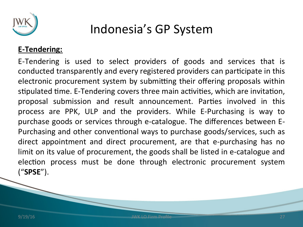

#### **E-Tendering:**

E-Tendering is used to select providers of goods and services that is conducted transparently and every registered providers can participate in this electronic procurement system by submitting their offering proposals within stipulated time. E-Tendering covers three main activities, which are invitation, proposal submission and result announcement. Parties involved in this process are PPK, ULP and the providers. While E-Purchasing is way to purchase goods or services through e-catalogue. The differences between E-Purchasing and other conventional ways to purchase goods/services, such as direct appointment and direct procurement, are that e-purchasing has no limit on its value of procurement, the goods shall be listed in e-catalogue and election process must be done through electronic procurement system ("**SPSE**"). 

**9/19/16 JWK LO Firm Profile 37**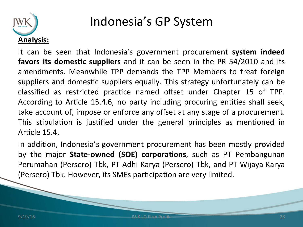

It can be seen that Indonesia's government procurement **system indeed favors its domestic suppliers** and it can be seen in the PR 54/2010 and its amendments. Meanwhile TPP demands the TPP Members to treat foreign suppliers and domestic suppliers equally. This strategy unfortunately can be classified as restricted practice named offset under Chapter 15 of TPP. According to Article 15.4.6, no party including procuring entities shall seek, take account of, impose or enforce any offset at any stage of a procurement. This stipulation is justified under the general principles as mentioned in Article 15.4.

In addition, Indonesia's government procurement has been mostly provided by the major **State-owned (SOE) corporations**, such as PT Pembangunan Perumahan (Persero) Tbk, PT Adhi Karya (Persero) Tbk, and PT Wijaya Karya (Persero) Tbk. However, its SMEs participation are very limited.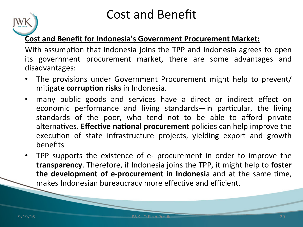### Cost and Benefit

### **Cost and Benefit for Indonesia's Government Procurement Market:**

With assumption that Indonesia joins the TPP and Indonesia agrees to open its government procurement market, there are some advantages and disadvantages: 

- The provisions under Government Procurement might help to prevent/ mitigate **corruption risks** in Indonesia.
- many public goods and services have a direct or indirect effect on economic performance and living standards—in particular, the living standards of the poor, who tend not to be able to afford private alternatives. **Effective national procurement** policies can help improve the execution of state infrastructure projects, yielding export and growth benefits
- TPP supports the existence of e- procurement in order to improve the **transparency**. Therefore, if Indonesia joins the TPP, it might help to **foster the development of e-procurement in Indonesia** and at the same time, makes Indonesian bureaucracy more effective and efficient.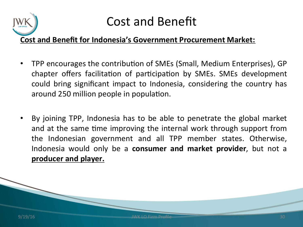

### Cost and Benefit

### **Cost and Benefit for Indonesia's Government Procurement Market:**

- TPP encourages the contribution of SMEs (Small, Medium Enterprises), GP chapter offers facilitation of participation by SMEs. SMEs development could bring significant impact to Indonesia, considering the country has around 250 million people in population.
- By joining TPP, Indonesia has to be able to penetrate the global market and at the same time improving the internal work through support from the Indonesian government and all TPP member states. Otherwise, Indonesia would only be a **consumer and market provider**, but not a **producer and player.**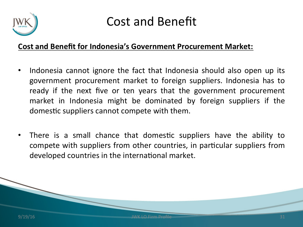

### Cost and Benefit

#### **Cost and Benefit for Indonesia's Government Procurement Market:**

- Indonesia cannot ignore the fact that Indonesia should also open up its government procurement market to foreign suppliers. Indonesia has to ready if the next five or ten years that the government procurement market in Indonesia might be dominated by foreign suppliers if the domestic suppliers cannot compete with them.
- There is a small chance that domestic suppliers have the ability to compete with suppliers from other countries, in particular suppliers from developed countries in the international market.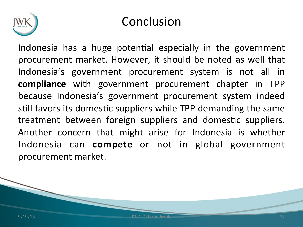

### Conclusion

Indonesia has a huge potential especially in the government procurement market. However, it should be noted as well that Indonesia's government procurement system is not all in **compliance** with government procurement chapter in TPP because Indonesia's government procurement system indeed still favors its domestic suppliers while TPP demanding the same treatment between foreign suppliers and domestic suppliers. Another concern that might arise for Indonesia is whether Indonesia can **compete** or not in global government procurement market.